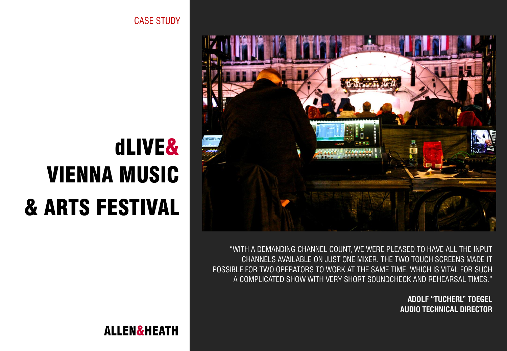VIENNA MUSIC & ARTS FESTIVAL

**ALLEN&HEATH** 

"WITH A DEMANDING CHANNEL COUNT, WE WERE PLEASED TO HAVE ALL THE INPUT CHANNELS AVAILABLE ON JUST ONE MIXER. THE TWO TOUCH SCREENS MADE IT POSSIBLE FOR TWO OPERATORS TO WORK AT THE SAME TIME, WHICH IS VITAL FOR SUCH A COMPLICATED SHOW WITH VERY SHORT SOUNDCHECK AND REHEARSAL TIMES."

> **ADOLF "TUCHERL" TOEGEL AUDIO TECHNICAL DIRECTOR**

# dLIVE&

CASE STUDY

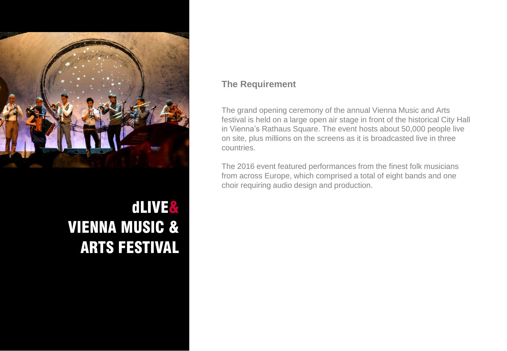

# dLIVE& VIENNA MUSIC & ARTS FESTIVAL

### **The Requirement**

The grand opening ceremony of the annual Vienna Music and Arts festival is held on a large open air stage in front of the historical City Hall in Vienna's Rathaus Square. The event hosts about 50,000 people live on site, plus millions on the screens as it is broadcasted live in three countries.

The 2016 event featured performances from the finest folk musicians from across Europe, which comprised a total of eight bands and one choir requiring audio design and production.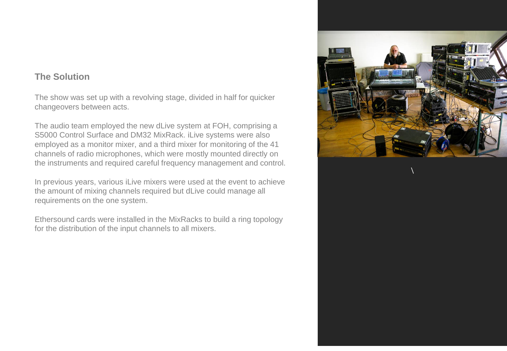### **The Solution**

The show was set up with a revolving stage, divided in half for quicker changeovers between acts.

The audio team employed the new dLive system at FOH, comprising a S5000 Control Surface and DM32 MixRack. iLive systems were also employed as a monitor mixer, and a third mixer for monitoring of the 41 channels of radio microphones, which were mostly mounted directly on the instruments and required careful frequency management and control.

In previous years, various iLive mixers were used at the event to achieve the amount of mixing channels required but dLive could manage all requirements on the one system.

Ethersound cards were installed in the MixRacks to build a ring topology for the distribution of the input channels to all mixers.



\